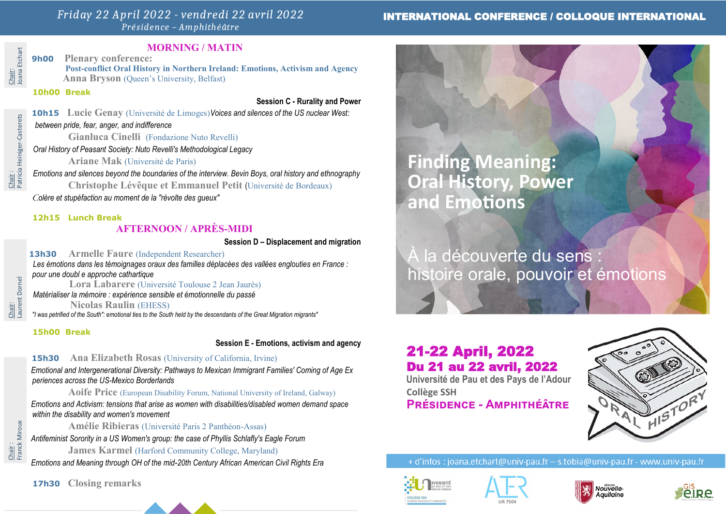## *Friday 22 April 2022 - vendredi 22 avril 2022 Présidence – Amphithéâtre*

## INTERNATIONAL CONFERENCE / COLLOQUE INTERNATIONAL

# Chair:<br>Joana Etchart Joana Etchart

Chair :<br>Patricia Heiniger-Casterets Patricia Heiniger-Casterets

## **MORNING / MATIN**

**9h00 Plenary conference:**

 **Post-conflict Oral History in Northern Ireland: Emotions, Activism and Agency Anna Bryson** (Oueen's University, Belfast)

**10h00 Break**

**Session C - Rurality and Power**

**10h15 Lucie Genay** (Université de Limoges)*Voices and silences of the US nuclear West:*

## *between pride, fear, anger, and indifference*

**Gianluca Cinelli** (Fondazione Nuto Revelli)

 *Oral History of Peasant Society: Nuto Revelli's Methodological Legacy*

**Ariane Mak** (Université de Paris)

 *Emotions and silences beyond the boundaries of the interview. Bevin Boys, oral history and ethnography* **Christophe Lévêque et Emmanuel Petit** (Université de Bordeaux) *Colère et stupéfaction au moment de la "révolte des gueux"*

## **12h15 Lunch Break**

## **AFTERNOON / APRÈS-MIDI**

**Session D – Displacement and migration**

**13h30 Armelle Faure** (Independent Researcher)  *Les émotions dans les témoignages oraux des familles déplacées des vallées englouties en France : pour une doubl e approche cathartique*

 **Lora Labarere** (Université Toulouse 2 Jean Jaurès)  *Matérialiser la mémoire : expérience sensible et émotionnelle du passé*

**Nicolas Raulin** (EHESS)

 *"I was petrified of the South": emotional ties to the South held by the descendants of the Great Migration migrants"*

#### **15h00 Break**

**Session E - Emotions, activism and agency**

## **15h30 Ana Elizabeth Rosas** (University of California, Irvine)

*Emotional and Intergenerational Diversity: Pathways to Mexican Immigrant Families' Coming of Age Ex periences across the US-Mexico Borderlands*

 **Aoife Price** (European Disability Forum, National University of Ireland, Galway) *Emotions and Activism: tensions that arise as women with disabilities/disabled women demand space within the disability and women's movement*

**Amélie Ribieras** (Université Paris 2 Panthéon-Assas)

*Antifeminist Sorority in a US Women's group: the case of Phyllis Schlafly's Eagle Forum*

**James Karmel** (Harford Community College, Maryland)

*Emotions and Meaning through OH of the mid-20th Century African American Civil Rights Era*

**17h30 Closing remarks**

**Finding Meaning: Oral History, Power and Emotions**

la découverte du sens histoire orale, pouvoir et émotions

# 21-22 April, 2022 Du 21 au 22 avril, 2022

**Université de Pau et des Pays de l'Adour Collège SSH Présidence - Amphithéâtre**



+ d'infos : joana.etchart@univ-pau.fr - s.tobia@univ-pau.fr - www.univ-pau.fr









Chair:<br>Franck Miroux Franck Miroux